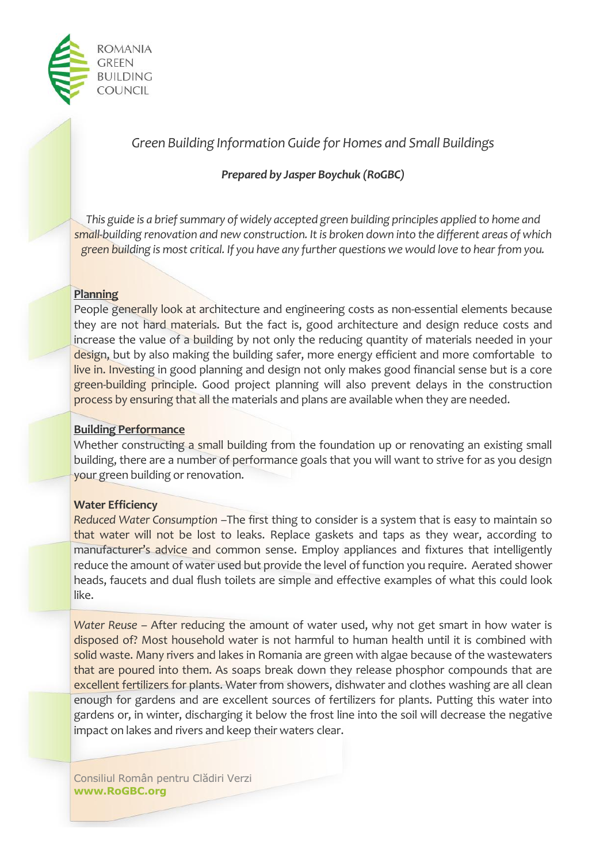

# *Green Building Information Guide for Homes and Small Buildings*

# *Prepared by Jasper Boychuk (RoGBC)*

*This guide is a brief summary of widely accepted green building principles applied to home and small-building renovation and new construction. It is broken down into the different areas of which green building is most critical. If you have any further questions we would love to hear from you.*

## **Planning**

People generally look at architecture and engineering costs as non-essential elements because they are not hard materials. But the fact is, good architecture and design reduce costs and increase the value of a building by not only the reducing quantity of materials needed in your design, but by also making the building safer, more energy efficient and more comfortable to live in. Investing in good planning and design not only makes good financial sense but is a core green-building principle. Good project planning will also prevent delays in the construction process by ensuring that all the materials and plans are available when they are needed.

## **Building Performance**

Whether constructing a small building from the foundation up or renovating an existing small building, there are a number of performance goals that you will want to strive for as you design your green building or renovation.

## **Water Efficiency**

*Reduced Water Consumption* –The first thing to consider is a system that is easy to maintain so that water will not be lost to leaks. Replace gaskets and taps as they wear, according to manufacturer's advice and common sense. Employ appliances and fixtures that intelligently reduce the amount of water used but provide the level of function you require. Aerated shower heads, faucets and dual flush toilets are simple and effective examples of what this could look like.

*Water Reuse* – After reducing the amount of water used, why not get smart in how water is disposed of? Most household water is not harmful to human health until it is combined with solid waste. Many rivers and lakes in Romania are green with algae because of the wastewaters that are poured into them. As soaps break down they release phosphor compounds that are excellent fertilizers for plants. Water from showers, dishwater and clothes washing are all clean enough for gardens and are excellent sources of fertilizers for plants. Putting this water into gardens or, in winter, discharging it below the frost line into the soil will decrease the negative impact on lakes and rivers and keep their waters clear.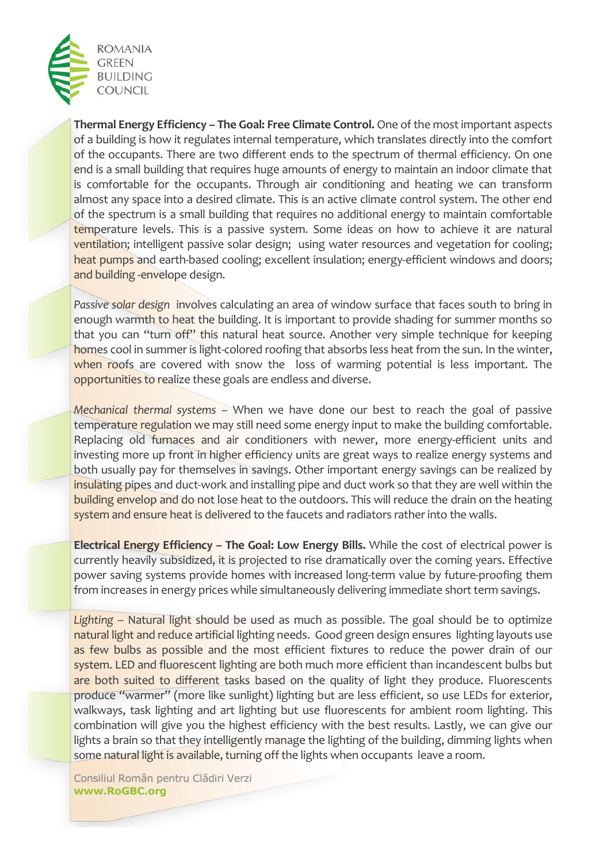

**Thermal Energy Efficiency – The Goal: Free Climate Control.** One of the most important aspects of a building is how it regulates internal temperature, which translates directly into the comfort of the occupants. There are two different ends to the spectrum of thermal efficiency. On one end is a small building that requires huge amounts of energy to maintain an indoor climate that is comfortable for the occupants. Through air conditioning and heating we can transform almost any space into a desired climate. This is an active climate control system. The other end of the spectrum is a small building that requires no additional energy to maintain comfortable temperature levels. This is a passive system. Some ideas on how to achieve it are natural ventilation; intelligent passive solar design; using water resources and vegetation for cooling; heat pumps and earth-based cooling; excellent insulation; energy-efficient windows and doors; and building -envelope design.

*Passive solar design* involves calculating an area of window surface that faces south to bring in enough warmth to heat the building. It is important to provide shading for summer months so that you can "turn off" this natural heat source. Another very simple technique for keeping homes cool in summer is light-colored roofing that absorbs less heat from the sun. In the winter, when roofs are covered with snow the loss of warming potential is less important. The opportunities to realize these goals are endless and diverse.

*Mechanical thermal systems* – When we have done our best to reach the goal of passive temperature regulation we may still need some energy input to make the building comfortable. Replacing old furnaces and air conditioners with newer, more energy-efficient units and investing more up front in higher efficiency units are great ways to realize energy systems and both usually pay for themselves in savings. Other important energy savings can be realized by insulating pipes and duct-work and installing pipe and duct work so that they are well within the building envelop and do not lose heat to the outdoors. This will reduce the drain on the heating system and ensure heat is delivered to the faucets and radiators rather into the walls.

**Electrical Energy Efficiency – The Goal: Low Energy Bills.** While the cost of electrical power is currently heavily subsidized, it is projected to rise dramatically over the coming years. Effective power saving systems provide homes with increased long-term value by future-proofing them from increases in energy prices while simultaneously delivering immediate short term savings.

*Lighting* – Natural light should be used as much as possible. The goal should be to optimize natural light and reduce artificial lighting needs. Good green design ensures lighting layouts use as few bulbs as possible and the most efficient fixtures to reduce the power drain of our system. LED and fluorescent lighting are both much more efficient than incandescent bulbs but are both suited to different tasks based on the quality of light they produce. Fluorescents produce "warmer" (more like sunlight) lighting but are less efficient, so use LEDs for exterior, walkways, task lighting and art lighting but use fluorescents for ambient room lighting. This combination will give you the highest efficiency with the best results. Lastly, we can give our lights a brain so that they intelligently manage the lighting of the building, dimming lights when some natural light is available, turning off the lights when occupants leave a room.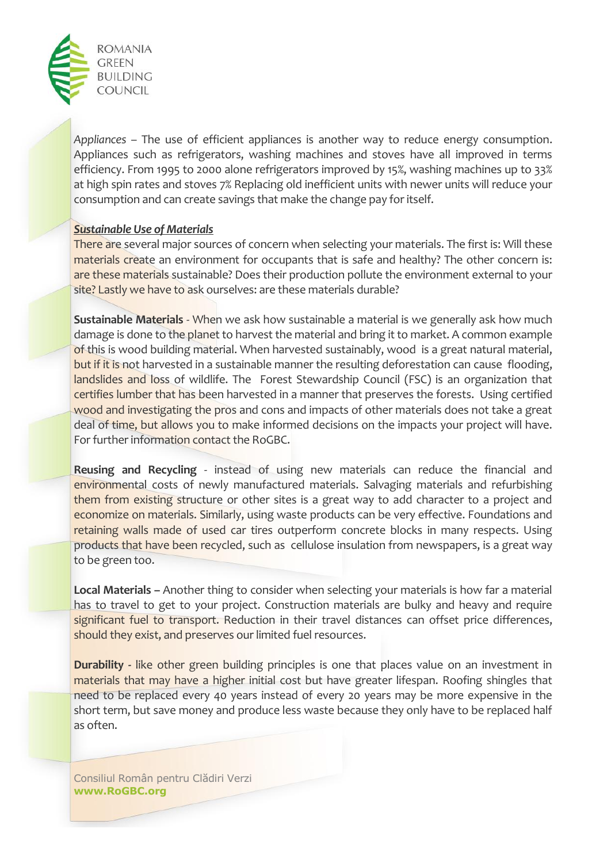

*Appliances* – The use of efficient appliances is another way to reduce energy consumption. Appliances such as refrigerators, washing machines and stoves have all improved in terms efficiency. From 1995 to 2000 alone refrigerators improved by 15%, washing machines up to 33% at high spin rates and stoves 7% Replacing old inefficient units with newer units will reduce your consumption and can create savings that make the change pay for itself.

## *Sustainable Use of Materials*

There are several major sources of concern when selecting your materials. The first is: Will these materials create an environment for occupants that is safe and healthy? The other concern is: are these materials sustainable? Does their production pollute the environment external to your site? Lastly we have to ask ourselves: are these materials durable?

**Sustainable Materials** - When we ask how sustainable a material is we generally ask how much damage is done to the planet to harvest the material and bring it to market. A common example of this is wood building material. When harvested sustainably, wood is a great natural material, but if it is not harvested in a sustainable manner the resulting deforestation can cause flooding, landslides and loss of wildlife. The Forest Stewardship Council (FSC) is an organization that certifies lumber that has been harvested in a manner that preserves the forests. Using certified wood and investigating the pros and cons and impacts of other materials does not take a great deal of time, but allows you to make informed decisions on the impacts your project will have. For further information contact the RoGBC.

**Reusing and Recycling** - instead of using new materials can reduce the financial and environmental costs of newly manufactured materials. Salvaging materials and refurbishing them from existing structure or other sites is a great way to add character to a project and economize on materials. Similarly, using waste products can be very effective. Foundations and retaining walls made of used car tires outperform concrete blocks in many respects. Using products that have been recycled, such as cellulose insulation from newspapers, is a great way to be green too.

**Local Materials –** Another thing to consider when selecting your materials is how far a material has to travel to get to your project. Construction materials are bulky and heavy and require significant fuel to transport. Reduction in their travel distances can offset price differences, should they exist, and preserves our limited fuel resources.

**Durability -** like other green building principles is one that places value on an investment in materials that may have a higher initial cost but have greater lifespan. Roofing shingles that need to be replaced every 40 years instead of every 20 years may be more expensive in the short term, but save money and produce less waste because they only have to be replaced half as often.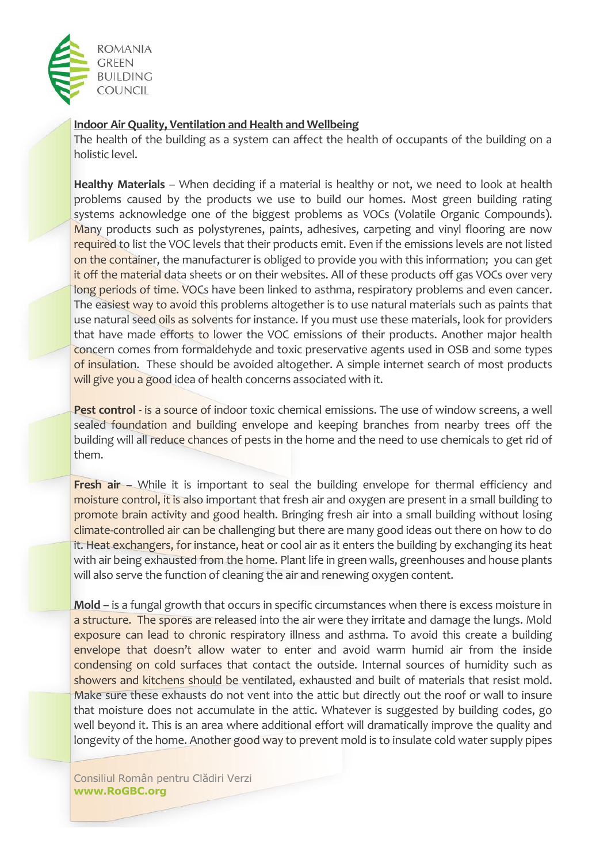

# **Indoor Air Quality, Ventilation and Health and Wellbeing**

The health of the building as a system can affect the health of occupants of the building on a holistic level.

**Healthy Materials** – When deciding if a material is healthy or not, we need to look at health problems caused by the products we use to build our homes. Most green building rating systems acknowledge one of the biggest problems as VOCs (Volatile Organic Compounds). Many products such as polystyrenes, paints, adhesives, carpeting and vinyl flooring are now required to list the VOC levels that their products emit. Even if the emissions levels are not listed on the container, the manufacturer is obliged to provide you with this information; you can get it off the material data sheets or on their websites. All of these products off gas VOCs over very long periods of time. VOCs have been linked to asthma, respiratory problems and even cancer. The easiest way to avoid this problems altogether is to use natural materials such as paints that use natural seed oils as solvents for instance. If you must use these materials, look for providers that have made efforts to lower the VOC emissions of their products. Another major health concern comes from formaldehyde and toxic preservative agents used in OSB and some types of insulation. These should be avoided altogether. A simple internet search of most products will give you a good idea of health concerns associated with it.

**Pest control** - is a source of indoor toxic chemical emissions. The use of window screens, a well sealed foundation and building envelope and keeping branches from nearby trees off the building will all reduce chances of pests in the home and the need to use chemicals to get rid of them.

**Fresh air** – While it is important to seal the building envelope for thermal efficiency and moisture control, it is also important that fresh air and oxygen are present in a small building to promote brain activity and good health. Bringing fresh air into a small building without losing climate-controlled air can be challenging but there are many good ideas out there on how to do it. Heat exchangers, for instance, heat or cool air as it enters the building by exchanging its heat with air being exhausted from the home. Plant life in green walls, greenhouses and house plants will also serve the function of cleaning the air and renewing oxygen content.

**Mold** – is a fungal growth that occurs in specific circumstances when there is excess moisture in a structure. The spores are released into the air were they irritate and damage the lungs. Mold exposure can lead to chronic respiratory illness and asthma. To avoid this create a building envelope that doesn't allow water to enter and avoid warm humid air from the inside condensing on cold surfaces that contact the outside. Internal sources of humidity such as showers and kitchens should be ventilated, exhausted and built of materials that resist mold. Make sure these exhausts do not vent into the attic but directly out the roof or wall to insure that moisture does not accumulate in the attic. Whatever is suggested by building codes, go well beyond it. This is an area where additional effort will dramatically improve the quality and longevity of the home. Another good way to prevent mold is to insulate cold water supply pipes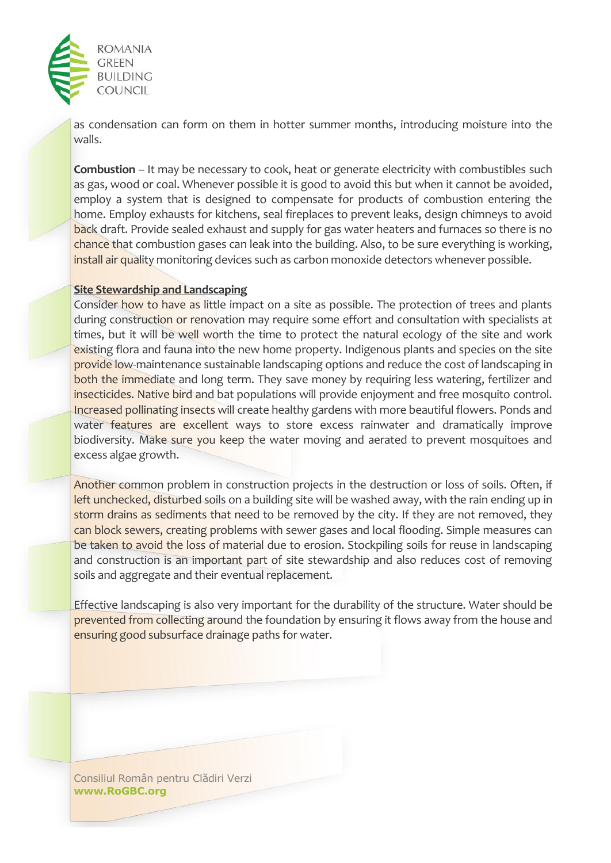

as condensation can form on them in hotter summer months, introducing moisture into the walls.

**Combustion** – It may be necessary to cook, heat or generate electricity with combustibles such as gas, wood or coal. Whenever possible it is good to avoid this but when it cannot be avoided, employ a system that is designed to compensate for products of combustion entering the home. Employ exhausts for kitchens, seal fireplaces to prevent leaks, design chimneys to avoid back draft. Provide sealed exhaust and supply for gas water heaters and furnaces so there is no chance that combustion gases can leak into the building. Also, to be sure everything is working, install air quality monitoring devices such as carbon monoxide detectors whenever possible.

### **Site Stewardship and Landscaping**

Consider how to have as little impact on a site as possible. The protection of trees and plants during construction or renovation may require some effort and consultation with specialists at times, but it will be well worth the time to protect the natural ecology of the site and work existing flora and fauna into the new home property. Indigenous plants and species on the site provide low-maintenance sustainable landscaping options and reduce the cost of landscaping in both the immediate and long term. They save money by requiring less watering, fertilizer and insecticides. Native bird and bat populations will provide enjoyment and free mosquito control. Increased pollinating insects will create healthy gardens with more beautiful flowers. Ponds and water features are excellent ways to store excess rainwater and dramatically improve biodiversity. Make sure you keep the water moving and aerated to prevent mosquitoes and excess algae growth.

Another common problem in construction projects in the destruction or loss of soils. Often, if left unchecked, disturbed soils on a building site will be washed away, with the rain ending up in storm drains as sediments that need to be removed by the city. If they are not removed, they can block sewers, creating problems with sewer gases and local flooding. Simple measures can be taken to avoid the loss of material due to erosion. Stockpiling soils for reuse in landscaping and construction is an important part of site stewardship and also reduces cost of removing soils and aggregate and their eventual replacement.

Effective landscaping is also very important for the durability of the structure. Water should be prevented from collecting around the foundation by ensuring it flows away from the house and ensuring good subsurface drainage paths for water.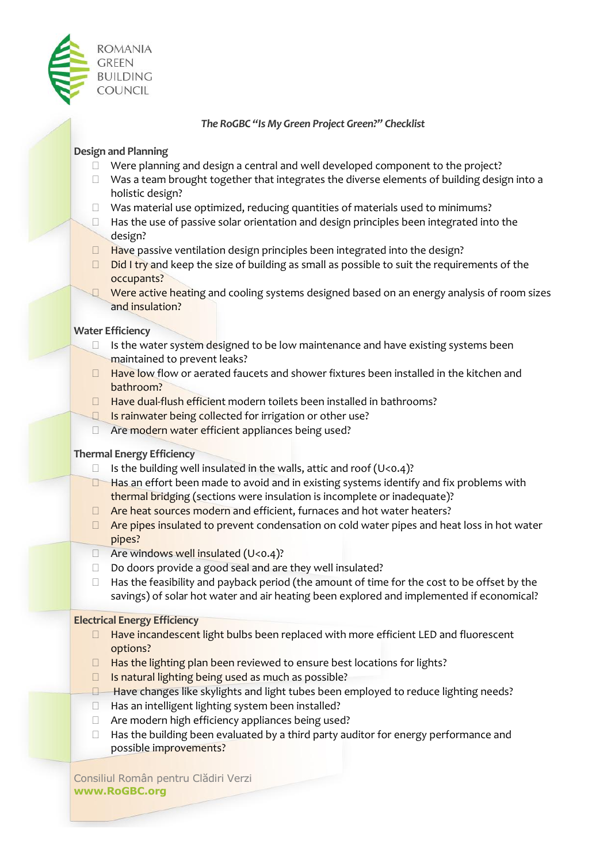

*The RoGBC "Is My Green Project Green?" Checklist*

## **Design and Planning**

- $\Box$  Were planning and design a central and well developed component to the project?
- $\Box$  Was a team brought together that integrates the diverse elements of building design into a holistic design?
- $\Box$  Was material use optimized, reducing quantities of materials used to minimums?
- $\Box$  Has the use of passive solar orientation and design principles been integrated into the design?
- $\Box$  Have passive ventilation design principles been integrated into the design?
- $\Box$  Did I try and keep the size of building as small as possible to suit the requirements of the occupants?
- $\Box$  Were active heating and cooling systems designed based on an energy analysis of room sizes and insulation?

### **Water Efficiency**

- $\Box$  Is the water system designed to be low maintenance and have existing systems been maintained to prevent leaks?
- $\Box$  Have low flow or aerated faucets and shower fixtures been installed in the kitchen and bathroom?
- $\Box$  Have dual-flush efficient modern toilets been installed in bathrooms?
- Is rainwater being collected for irrigation or other use?
- □ Are modern water efficient appliances being used?

## **Thermal Energy Efficiency**

- $\Box$  Is the building well insulated in the walls, attic and roof (U<0.4)?
- $\Box$  Has an effort been made to avoid and in existing systems identify and fix problems with thermal bridging (sections were insulation is incomplete or inadequate)?
- $\Box$  Are heat sources modern and efficient, furnaces and hot water heaters?
- $\Box$  Are pipes insulated to prevent condensation on cold water pipes and heat loss in hot water pipes?
- $\Box$  Are windows well insulated (U<0.4)?
- Do doors provide a good seal and are they well insulated?
- $\Box$  Has the feasibility and payback period (the amount of time for the cost to be offset by the savings) of solar hot water and air heating been explored and implemented if economical?

### **Electrical Energy Efficiency**

- $\Box$  Have incandescent light bulbs been replaced with more efficient LED and fluorescent options?
- $\Box$  Has the lighting plan been reviewed to ensure best locations for lights?
- $\Box$  Is natural lighting being used as much as possible?
- $\Box$  Have changes like skylights and light tubes been employed to reduce lighting needs?
- $\Box$  Has an intelligent lighting system been installed?
- $\Box$  Are modern high efficiency appliances being used?
- $\Box$  Has the building been evaluated by a third party auditor for energy performance and possible improvements?